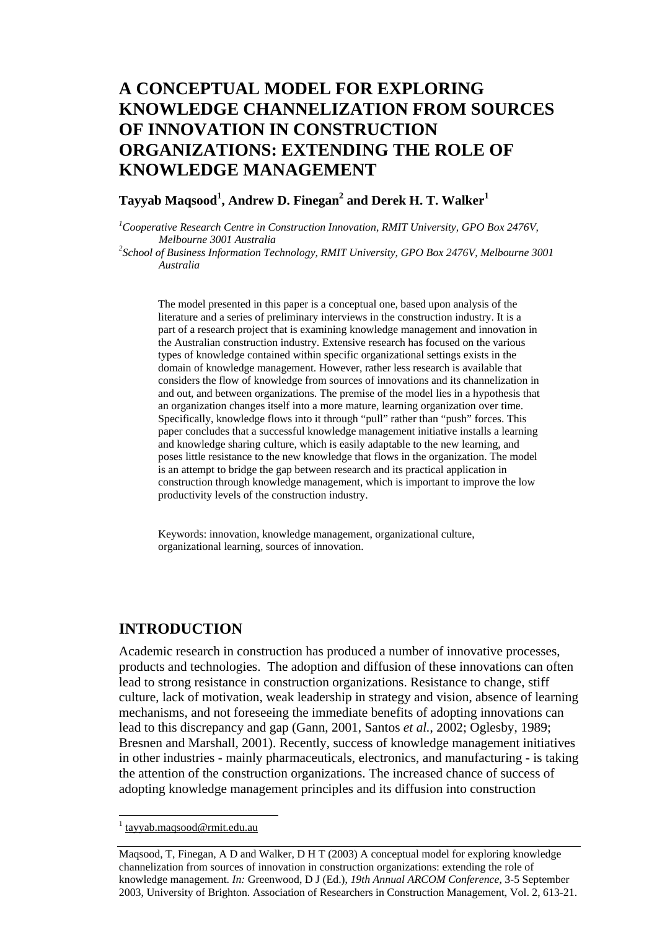# **A CONCEPTUAL MODEL FOR EXPLORING KNOWLEDGE CHANNELIZATION FROM SOURCES OF INNOVATION IN CONSTRUCTION ORGANIZATIONS: EXTENDING THE ROLE OF KNOWLEDGE MANAGEMENT**

## $\boldsymbol{\mathrm{T}}$ ayyab Maqsood $^1$ , Andrew D. Finegan $^2$  and Derek H. T. Walker $^1$

<sup>1</sup>Cooperative Research Centre in Construction Innovation, RMIT University, GPO Box 2476V,

*Melbourne 3001 Australia 2 School of Business Information Technology, RMIT University, GPO Box 2476V, Melbourne 3001 Australia* 

The model presented in this paper is a conceptual one, based upon analysis of the literature and a series of preliminary interviews in the construction industry. It is a part of a research project that is examining knowledge management and innovation in the Australian construction industry. Extensive research has focused on the various types of knowledge contained within specific organizational settings exists in the domain of knowledge management. However, rather less research is available that considers the flow of knowledge from sources of innovations and its channelization in and out, and between organizations. The premise of the model lies in a hypothesis that an organization changes itself into a more mature, learning organization over time. Specifically, knowledge flows into it through "pull" rather than "push" forces. This paper concludes that a successful knowledge management initiative installs a learning and knowledge sharing culture, which is easily adaptable to the new learning, and poses little resistance to the new knowledge that flows in the organization. The model is an attempt to bridge the gap between research and its practical application in construction through knowledge management, which is important to improve the low productivity levels of the construction industry.

Keywords: innovation, knowledge management, organizational culture, organizational learning, sources of innovation.

### **INTRODUCTION**

Academic research in construction has produced a number of innovative processes, products and technologies. The adoption and diffusion of these innovations can often lead to strong resistance in construction organizations. Resistance to change, stiff culture, lack of motivation, weak leadership in strategy and vision, absence of learning mechanisms, and not foreseeing the immediate benefits of adopting innovations can lead to this discrepancy and gap (Gann, 2001, Santos *et al.*, 2002; Oglesby, 1989; Bresnen and Marshall, 2001). Recently, success of knowledge management initiatives in other industries - mainly pharmaceuticals, electronics, and manufacturing - is taking the attention of the construction organizations. The increased chance of success of adopting knowledge management principles and its diffusion into construction

l

<sup>1</sup> tayyab.maqsood@rmit.edu.au

Maqsood, T, Finegan, A D and Walker, D H T (2003) A conceptual model for exploring knowledge channelization from sources of innovation in construction organizations: extending the role of knowledge management. *In:* Greenwood, D J (Ed.), *19th Annual ARCOM Conference*, 3-5 September 2003, University of Brighton. Association of Researchers in Construction Management, Vol. 2, 613-21.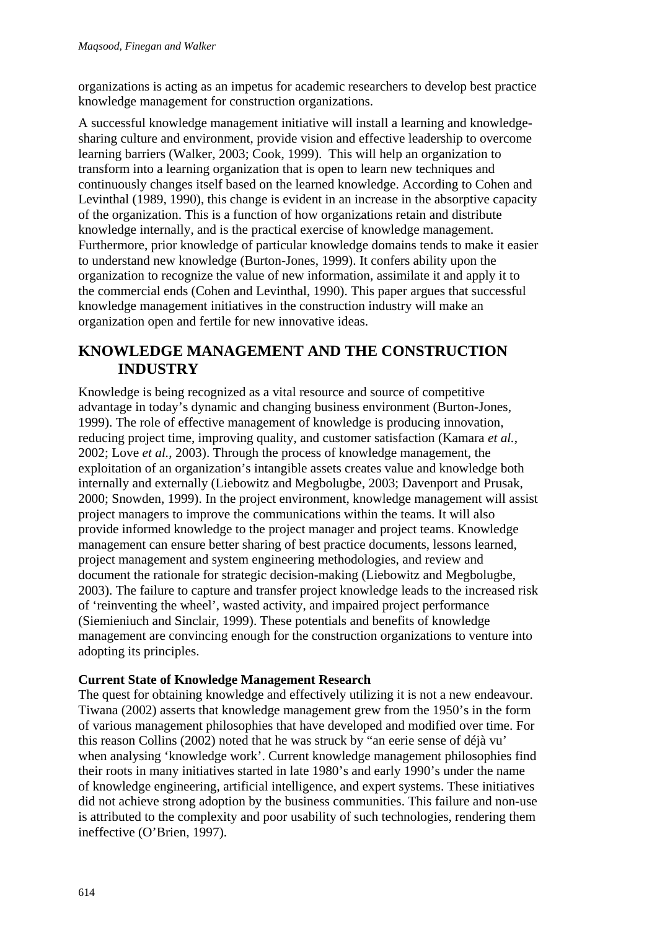organizations is acting as an impetus for academic researchers to develop best practice knowledge management for construction organizations.

A successful knowledge management initiative will install a learning and knowledgesharing culture and environment, provide vision and effective leadership to overcome learning barriers (Walker, 2003; Cook, 1999). This will help an organization to transform into a learning organization that is open to learn new techniques and continuously changes itself based on the learned knowledge. According to Cohen and Levinthal (1989, 1990), this change is evident in an increase in the absorptive capacity of the organization. This is a function of how organizations retain and distribute knowledge internally, and is the practical exercise of knowledge management. Furthermore, prior knowledge of particular knowledge domains tends to make it easier to understand new knowledge (Burton-Jones, 1999). It confers ability upon the organization to recognize the value of new information, assimilate it and apply it to the commercial ends (Cohen and Levinthal, 1990). This paper argues that successful knowledge management initiatives in the construction industry will make an organization open and fertile for new innovative ideas.

# **KNOWLEDGE MANAGEMENT AND THE CONSTRUCTION INDUSTRY**

Knowledge is being recognized as a vital resource and source of competitive advantage in today's dynamic and changing business environment (Burton-Jones, 1999). The role of effective management of knowledge is producing innovation, reducing project time, improving quality, and customer satisfaction (Kamara *et al.*, 2002; Love *et al.*, 2003). Through the process of knowledge management, the exploitation of an organization's intangible assets creates value and knowledge both internally and externally (Liebowitz and Megbolugbe, 2003; Davenport and Prusak, 2000; Snowden, 1999). In the project environment, knowledge management will assist project managers to improve the communications within the teams. It will also provide informed knowledge to the project manager and project teams. Knowledge management can ensure better sharing of best practice documents, lessons learned, project management and system engineering methodologies, and review and document the rationale for strategic decision-making (Liebowitz and Megbolugbe, 2003). The failure to capture and transfer project knowledge leads to the increased risk of 'reinventing the wheel', wasted activity, and impaired project performance (Siemieniuch and Sinclair, 1999). These potentials and benefits of knowledge management are convincing enough for the construction organizations to venture into adopting its principles.

### **Current State of Knowledge Management Research**

The quest for obtaining knowledge and effectively utilizing it is not a new endeavour. Tiwana (2002) asserts that knowledge management grew from the 1950's in the form of various management philosophies that have developed and modified over time. For this reason Collins (2002) noted that he was struck by "an eerie sense of déjà vu' when analysing 'knowledge work'. Current knowledge management philosophies find their roots in many initiatives started in late 1980's and early 1990's under the name of knowledge engineering, artificial intelligence, and expert systems. These initiatives did not achieve strong adoption by the business communities. This failure and non-use is attributed to the complexity and poor usability of such technologies, rendering them ineffective (O'Brien, 1997).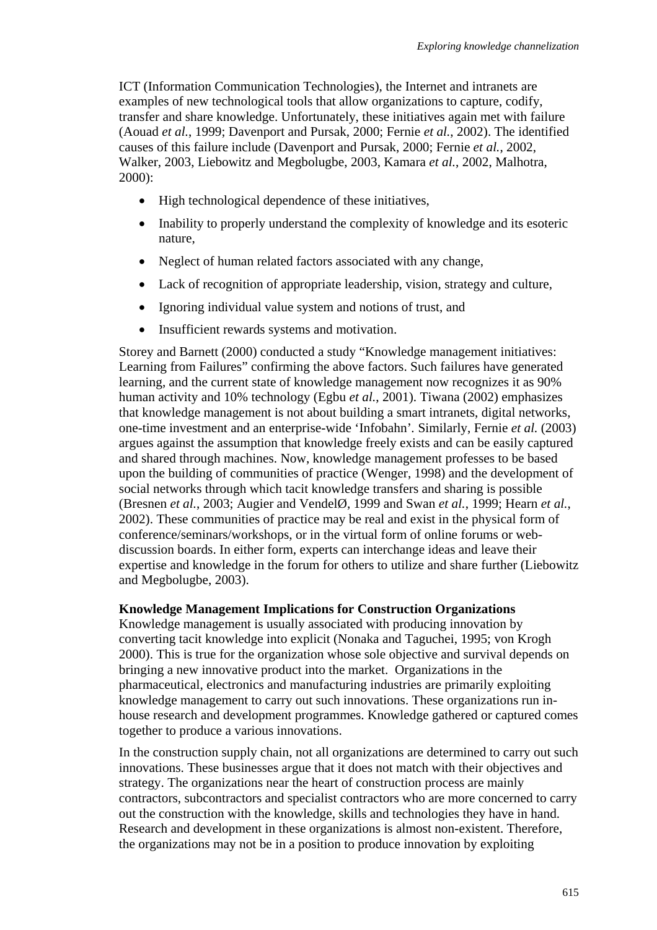ICT (Information Communication Technologies), the Internet and intranets are examples of new technological tools that allow organizations to capture, codify, transfer and share knowledge. Unfortunately, these initiatives again met with failure (Aouad *et al.*, 1999; Davenport and Pursak, 2000; Fernie *et al.*, 2002). The identified causes of this failure include (Davenport and Pursak, 2000; Fernie *et al.*, 2002, Walker, 2003, Liebowitz and Megbolugbe, 2003, Kamara *et al.*, 2002, Malhotra, 2000):

- High technological dependence of these initiatives.
- Inability to properly understand the complexity of knowledge and its esoteric nature,
- Neglect of human related factors associated with any change,
- Lack of recognition of appropriate leadership, vision, strategy and culture,
- Ignoring individual value system and notions of trust, and
- Insufficient rewards systems and motivation.

Storey and Barnett (2000) conducted a study "Knowledge management initiatives: Learning from Failures" confirming the above factors. Such failures have generated learning, and the current state of knowledge management now recognizes it as 90% human activity and 10% technology (Egbu *et al.*, 2001). Tiwana (2002) emphasizes that knowledge management is not about building a smart intranets, digital networks, one-time investment and an enterprise-wide 'Infobahn'*.* Similarly, Fernie *et al.* (2003) argues against the assumption that knowledge freely exists and can be easily captured and shared through machines. Now, knowledge management professes to be based upon the building of communities of practice (Wenger, 1998) and the development of social networks through which tacit knowledge transfers and sharing is possible (Bresnen *et al.*, 2003; Augier and VendelØ, 1999 and Swan *et al.*, 1999; Hearn *et al.*, 2002). These communities of practice may be real and exist in the physical form of conference/seminars/workshops, or in the virtual form of online forums or webdiscussion boards. In either form, experts can interchange ideas and leave their expertise and knowledge in the forum for others to utilize and share further (Liebowitz and Megbolugbe, 2003).

### **Knowledge Management Implications for Construction Organizations**

Knowledge management is usually associated with producing innovation by converting tacit knowledge into explicit (Nonaka and Taguchei, 1995; von Krogh 2000). This is true for the organization whose sole objective and survival depends on bringing a new innovative product into the market. Organizations in the pharmaceutical, electronics and manufacturing industries are primarily exploiting knowledge management to carry out such innovations. These organizations run inhouse research and development programmes. Knowledge gathered or captured comes together to produce a various innovations.

In the construction supply chain, not all organizations are determined to carry out such innovations. These businesses argue that it does not match with their objectives and strategy. The organizations near the heart of construction process are mainly contractors, subcontractors and specialist contractors who are more concerned to carry out the construction with the knowledge, skills and technologies they have in hand. Research and development in these organizations is almost non-existent. Therefore, the organizations may not be in a position to produce innovation by exploiting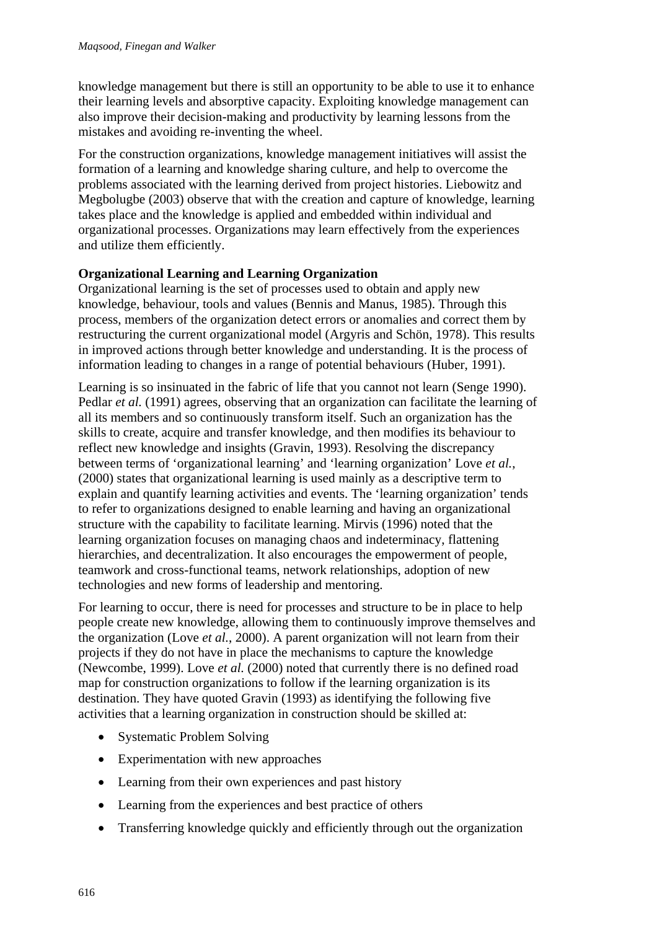knowledge management but there is still an opportunity to be able to use it to enhance their learning levels and absorptive capacity. Exploiting knowledge management can also improve their decision-making and productivity by learning lessons from the mistakes and avoiding re-inventing the wheel.

For the construction organizations, knowledge management initiatives will assist the formation of a learning and knowledge sharing culture, and help to overcome the problems associated with the learning derived from project histories. Liebowitz and Megbolugbe (2003) observe that with the creation and capture of knowledge, learning takes place and the knowledge is applied and embedded within individual and organizational processes. Organizations may learn effectively from the experiences and utilize them efficiently.

## **Organizational Learning and Learning Organization**

Organizational learning is the set of processes used to obtain and apply new knowledge, behaviour, tools and values (Bennis and Manus, 1985). Through this process, members of the organization detect errors or anomalies and correct them by restructuring the current organizational model (Argyris and Schön, 1978). This results in improved actions through better knowledge and understanding. It is the process of information leading to changes in a range of potential behaviours (Huber, 1991).

Learning is so insinuated in the fabric of life that you cannot not learn (Senge 1990). Pedlar *et al.* (1991) agrees, observing that an organization can facilitate the learning of all its members and so continuously transform itself. Such an organization has the skills to create, acquire and transfer knowledge, and then modifies its behaviour to reflect new knowledge and insights (Gravin, 1993). Resolving the discrepancy between terms of 'organizational learning' and 'learning organization' Love *et al.*, (2000) states that organizational learning is used mainly as a descriptive term to explain and quantify learning activities and events. The 'learning organization' tends to refer to organizations designed to enable learning and having an organizational structure with the capability to facilitate learning. Mirvis (1996) noted that the learning organization focuses on managing chaos and indeterminacy, flattening hierarchies, and decentralization. It also encourages the empowerment of people, teamwork and cross-functional teams, network relationships, adoption of new technologies and new forms of leadership and mentoring.

For learning to occur, there is need for processes and structure to be in place to help people create new knowledge, allowing them to continuously improve themselves and the organization (Love *et al.*, 2000). A parent organization will not learn from their projects if they do not have in place the mechanisms to capture the knowledge (Newcombe, 1999). Love *et al.* (2000) noted that currently there is no defined road map for construction organizations to follow if the learning organization is its destination. They have quoted Gravin (1993) as identifying the following five activities that a learning organization in construction should be skilled at:

- Systematic Problem Solving
- Experimentation with new approaches
- Learning from their own experiences and past history
- Learning from the experiences and best practice of others
- Transferring knowledge quickly and efficiently through out the organization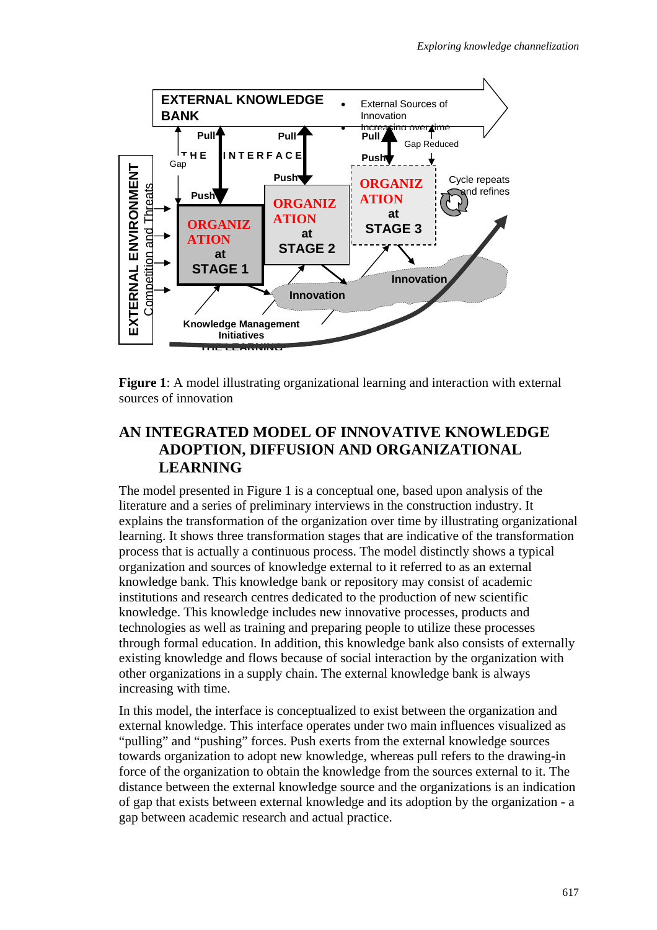

**Figure 1**: A model illustrating organizational learning and interaction with external sources of innovation

# **AN INTEGRATED MODEL OF INNOVATIVE KNOWLEDGE ADOPTION, DIFFUSION AND ORGANIZATIONAL LEARNING**

The model presented in Figure 1 is a conceptual one, based upon analysis of the literature and a series of preliminary interviews in the construction industry. It explains the transformation of the organization over time by illustrating organizational learning. It shows three transformation stages that are indicative of the transformation process that is actually a continuous process. The model distinctly shows a typical organization and sources of knowledge external to it referred to as an external knowledge bank. This knowledge bank or repository may consist of academic institutions and research centres dedicated to the production of new scientific knowledge. This knowledge includes new innovative processes, products and technologies as well as training and preparing people to utilize these processes through formal education. In addition, this knowledge bank also consists of externally existing knowledge and flows because of social interaction by the organization with other organizations in a supply chain. The external knowledge bank is always increasing with time.

In this model, the interface is conceptualized to exist between the organization and external knowledge. This interface operates under two main influences visualized as "pulling" and "pushing" forces. Push exerts from the external knowledge sources towards organization to adopt new knowledge, whereas pull refers to the drawing-in force of the organization to obtain the knowledge from the sources external to it. The distance between the external knowledge source and the organizations is an indication of gap that exists between external knowledge and its adoption by the organization - a gap between academic research and actual practice.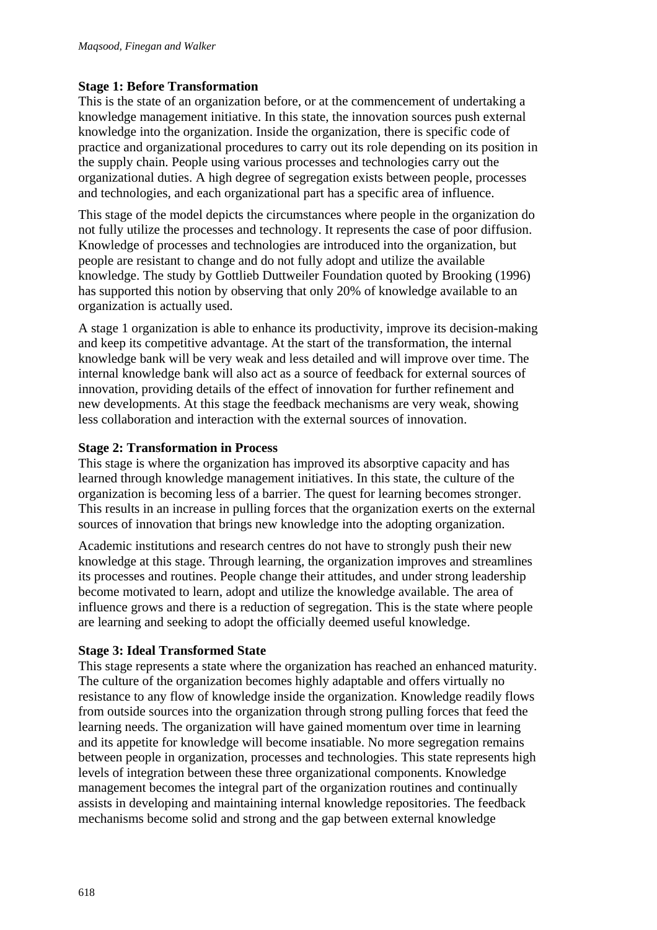### **Stage 1: Before Transformation**

This is the state of an organization before, or at the commencement of undertaking a knowledge management initiative. In this state, the innovation sources push external knowledge into the organization. Inside the organization, there is specific code of practice and organizational procedures to carry out its role depending on its position in the supply chain. People using various processes and technologies carry out the organizational duties. A high degree of segregation exists between people, processes and technologies, and each organizational part has a specific area of influence.

This stage of the model depicts the circumstances where people in the organization do not fully utilize the processes and technology. It represents the case of poor diffusion. Knowledge of processes and technologies are introduced into the organization, but people are resistant to change and do not fully adopt and utilize the available knowledge. The study by Gottlieb Duttweiler Foundation quoted by Brooking (1996) has supported this notion by observing that only 20% of knowledge available to an organization is actually used.

A stage 1 organization is able to enhance its productivity, improve its decision-making and keep its competitive advantage. At the start of the transformation, the internal knowledge bank will be very weak and less detailed and will improve over time. The internal knowledge bank will also act as a source of feedback for external sources of innovation, providing details of the effect of innovation for further refinement and new developments. At this stage the feedback mechanisms are very weak, showing less collaboration and interaction with the external sources of innovation.

### **Stage 2: Transformation in Process**

This stage is where the organization has improved its absorptive capacity and has learned through knowledge management initiatives. In this state, the culture of the organization is becoming less of a barrier. The quest for learning becomes stronger. This results in an increase in pulling forces that the organization exerts on the external sources of innovation that brings new knowledge into the adopting organization.

Academic institutions and research centres do not have to strongly push their new knowledge at this stage. Through learning, the organization improves and streamlines its processes and routines. People change their attitudes, and under strong leadership become motivated to learn, adopt and utilize the knowledge available. The area of influence grows and there is a reduction of segregation. This is the state where people are learning and seeking to adopt the officially deemed useful knowledge.

## **Stage 3: Ideal Transformed State**

This stage represents a state where the organization has reached an enhanced maturity. The culture of the organization becomes highly adaptable and offers virtually no resistance to any flow of knowledge inside the organization. Knowledge readily flows from outside sources into the organization through strong pulling forces that feed the learning needs. The organization will have gained momentum over time in learning and its appetite for knowledge will become insatiable. No more segregation remains between people in organization, processes and technologies. This state represents high levels of integration between these three organizational components. Knowledge management becomes the integral part of the organization routines and continually assists in developing and maintaining internal knowledge repositories. The feedback mechanisms become solid and strong and the gap between external knowledge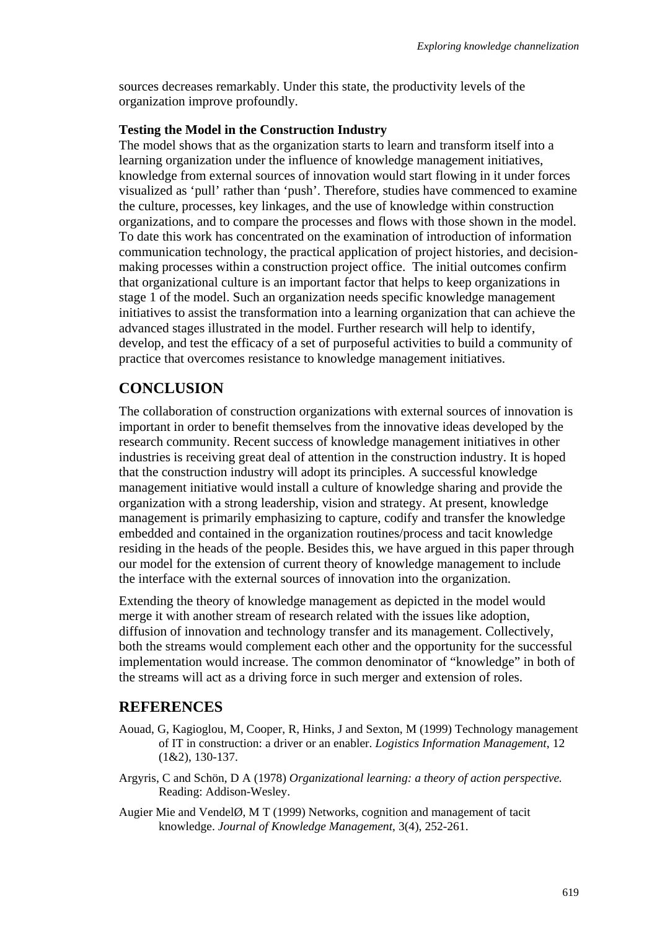sources decreases remarkably. Under this state, the productivity levels of the organization improve profoundly.

#### **Testing the Model in the Construction Industry**

The model shows that as the organization starts to learn and transform itself into a learning organization under the influence of knowledge management initiatives, knowledge from external sources of innovation would start flowing in it under forces visualized as 'pull' rather than 'push'. Therefore, studies have commenced to examine the culture, processes, key linkages, and the use of knowledge within construction organizations, and to compare the processes and flows with those shown in the model. To date this work has concentrated on the examination of introduction of information communication technology, the practical application of project histories, and decisionmaking processes within a construction project office. The initial outcomes confirm that organizational culture is an important factor that helps to keep organizations in stage 1 of the model. Such an organization needs specific knowledge management initiatives to assist the transformation into a learning organization that can achieve the advanced stages illustrated in the model. Further research will help to identify, develop, and test the efficacy of a set of purposeful activities to build a community of practice that overcomes resistance to knowledge management initiatives.

# **CONCLUSION**

The collaboration of construction organizations with external sources of innovation is important in order to benefit themselves from the innovative ideas developed by the research community. Recent success of knowledge management initiatives in other industries is receiving great deal of attention in the construction industry. It is hoped that the construction industry will adopt its principles. A successful knowledge management initiative would install a culture of knowledge sharing and provide the organization with a strong leadership, vision and strategy. At present, knowledge management is primarily emphasizing to capture, codify and transfer the knowledge embedded and contained in the organization routines/process and tacit knowledge residing in the heads of the people. Besides this, we have argued in this paper through our model for the extension of current theory of knowledge management to include the interface with the external sources of innovation into the organization.

Extending the theory of knowledge management as depicted in the model would merge it with another stream of research related with the issues like adoption, diffusion of innovation and technology transfer and its management. Collectively, both the streams would complement each other and the opportunity for the successful implementation would increase. The common denominator of "knowledge" in both of the streams will act as a driving force in such merger and extension of roles.

# **REFERENCES**

- Aouad, G, Kagioglou, M, Cooper, R, Hinks, J and Sexton, M (1999) Technology management of IT in construction: a driver or an enabler. *Logistics Information Management*, 12 (1&2), 130-137.
- Argyris, C and Schön, D A (1978) *Organizational learning: a theory of action perspective.* Reading: Addison-Wesley.
- Augier Mie and VendelØ, M T (1999) Networks, cognition and management of tacit knowledge. *Journal of Knowledge Management*, 3(4), 252-261.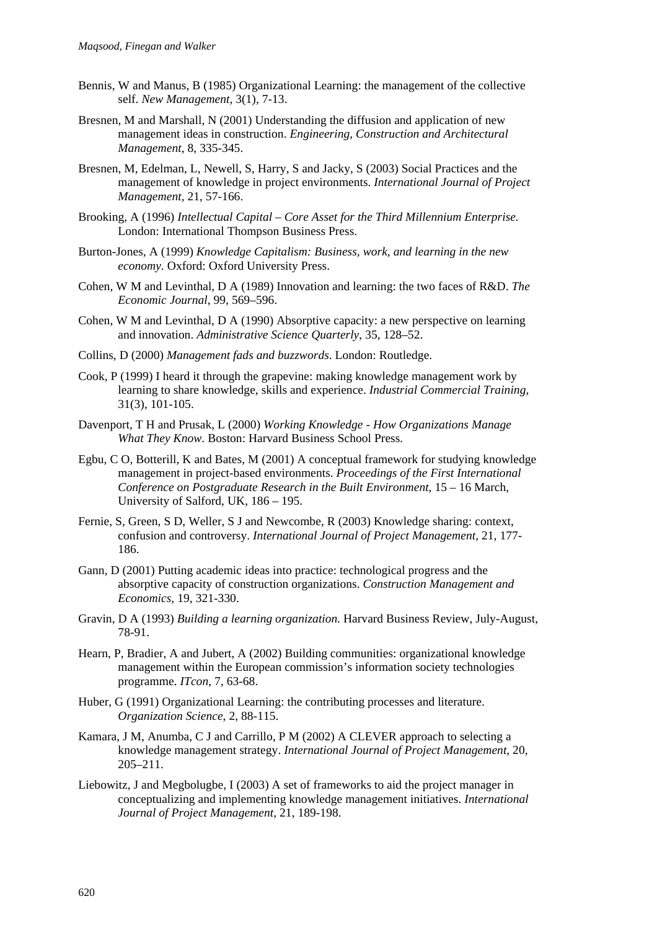- Bennis, W and Manus, B (1985) Organizational Learning: the management of the collective self. *New Management*, 3(1), 7-13.
- Bresnen, M and Marshall, N (2001) Understanding the diffusion and application of new management ideas in construction. *Engineering, Construction and Architectural Management*, 8, 335-345.
- Bresnen, M, Edelman, L, Newell, S, Harry, S and Jacky, S (2003) Social Practices and the management of knowledge in project environments. *International Journal of Project Management,* 21, 57-166.
- Brooking, A (1996) *Intellectual Capital Core Asset for the Third Millennium Enterprise.* London: International Thompson Business Press.
- Burton-Jones, A (1999) *Knowledge Capitalism: Business, work, and learning in the new economy.* Oxford: Oxford University Press.
- Cohen, W M and Levinthal, D A (1989) Innovation and learning: the two faces of R&D. *The Economic Journal*, 99, 569–596.
- Cohen, W M and Levinthal, D A (1990) Absorptive capacity: a new perspective on learning and innovation. *Administrative Science Quarterly*, 35, 128–52.
- Collins, D (2000) *Management fads and buzzwords*. London: Routledge.
- Cook, P (1999) I heard it through the grapevine: making knowledge management work by learning to share knowledge, skills and experience. *Industrial Commercial Training*, 31(3), 101-105.
- Davenport, T H and Prusak, L (2000) *Working Knowledge How Organizations Manage What They Know*. Boston: Harvard Business School Press.
- Egbu, C O, Botterill, K and Bates, M (2001) A conceptual framework for studying knowledge management in project-based environments. *Proceedings of the First International Conference on Postgraduate Research in the Built Environment*, 15 – 16 March, University of Salford, UK, 186 – 195.
- Fernie, S, Green, S D, Weller, S J and Newcombe, R (2003) Knowledge sharing: context, confusion and controversy. *International Journal of Project Management,* 21, 177- 186.
- Gann, D (2001) Putting academic ideas into practice: technological progress and the absorptive capacity of construction organizations. *Construction Management and Economics*, 19, 321-330.
- Gravin, D A (1993) *Building a learning organization.* Harvard Business Review, July-August, 78-91.
- Hearn, P, Bradier, A and Jubert, A (2002) Building communities: organizational knowledge management within the European commission's information society technologies programme. *ITcon*, 7, 63-68.
- Huber, G (1991) Organizational Learning: the contributing processes and literature. *Organization Science*, 2, 88-115.
- Kamara, J M, Anumba, C J and Carrillo, P M (2002) A CLEVER approach to selecting a knowledge management strategy. *International Journal of Project Management*, 20, 205–211.
- Liebowitz, J and Megbolugbe, I (2003) A set of frameworks to aid the project manager in conceptualizing and implementing knowledge management initiatives. *International Journal of Project Management,* 21, 189-198.